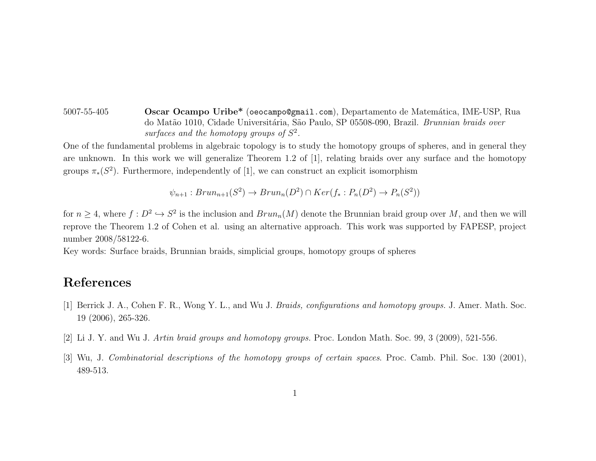5007-55-405 Oscar Ocampo Uribe\* (oeocampo@gmail.com), Departamento de Matem´atica, IME-USP, Rua do Matão 1010, Cidade Universitária, São Paulo, SP 05508-090, Brazil. Brunnian braids over surfaces and the homotopy groups of  $S^2$ .

One of the fundamental problems in algebraic topology is to study the homotopy groups of spheres, and in general they are unknown. In this work we will generalize Theorem 1.2 of [1], relating braids over any surface and the homotopy groups  $\pi_*(S^2)$ . Furthermore, independently of [1], we can construct an explicit isomorphism

$$
\psi_{n+1}: Brun_{n+1}(S^2) \to Brun_n(D^2) \cap Ker(f_*: P_n(D^2) \to P_n(S^2))
$$

for  $n \geq 4$ , where  $f: D^2 \hookrightarrow S^2$  is the inclusion and  $Brun_n(M)$  denote the Brunnian braid group over M, and then we will reprove the Theorem 1.2 of Cohen et al. using an alternative approach. This work was supported by FAPESP, project number 2008/58122-6.

Key words: Surface braids, Brunnian braids, simplicial groups, homotopy groups of spheres

## References

- [1] Berrick J. A., Cohen F. R., Wong Y. L., and Wu J. Braids, configurations and homotopy groups. J. Amer. Math. Soc. 19 (2006), 265-326.
- [2] Li J. Y. and Wu J. Artin braid groups and homotopy groups. Proc. London Math. Soc. 99, 3 (2009), 521-556.
- [3] Wu, J. Combinatorial descriptions of the homotopy groups of certain spaces. Proc. Camb. Phil. Soc. 130 (2001), 489-513.